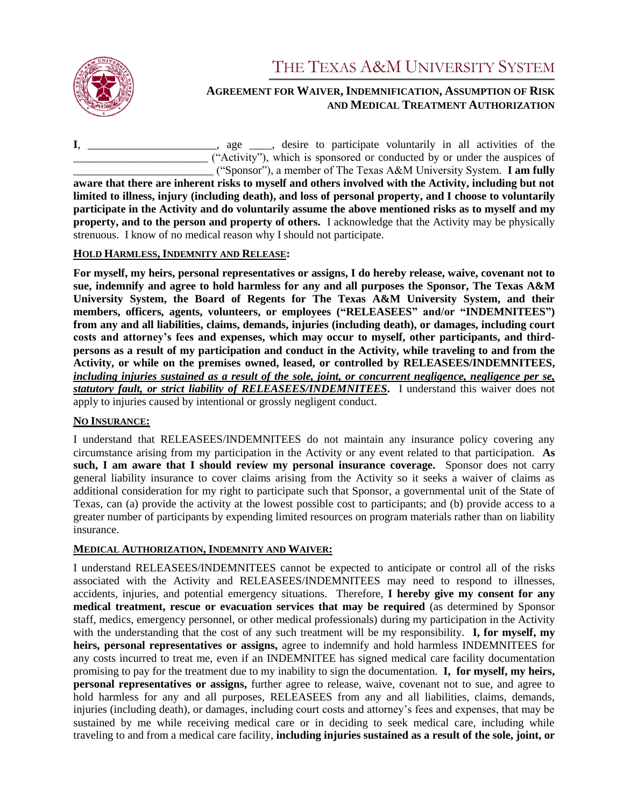

# THE TEXAS A&M UNIVERSITY SYSTEM

## **AGREEMENT FOR WAIVER, INDEMNIFICATION, ASSUMPTION OF RISK AND MEDICAL TREATMENT AUTHORIZATION**

**I**, \_\_\_\_\_\_\_\_\_\_\_\_\_\_\_\_\_\_\_\_\_\_\_, age \_\_\_\_, desire to participate voluntarily in all activities of the \_\_\_\_\_\_\_\_\_\_\_\_\_\_\_\_\_\_\_\_\_\_\_\_ ("Activity"), which is sponsored or conducted by or under the auspices of \_\_\_\_\_\_\_\_\_\_\_\_\_\_\_\_\_\_\_\_\_\_\_\_\_ ("Sponsor"), a member of The Texas A&M University System. **I am fully aware that there are inherent risks to myself and others involved with the Activity, including but not** 

**limited to illness, injury (including death), and loss of personal property, and I choose to voluntarily participate in the Activity and do voluntarily assume the above mentioned risks as to myself and my property, and to the person and property of others.** I acknowledge that the Activity may be physically strenuous. I know of no medical reason why I should not participate.

### **HOLD HARMLESS, INDEMNITY AND RELEASE:**

**For myself, my heirs, personal representatives or assigns, I do hereby release, waive, covenant not to sue, indemnify and agree to hold harmless for any and all purposes the Sponsor, The Texas A&M University System, the Board of Regents for The Texas A&M University System, and their members, officers, agents, volunteers, or employees ("RELEASEES" and/or "INDEMNITEES") from any and all liabilities, claims, demands, injuries (including death), or damages, including court costs and attorney's fees and expenses, which may occur to myself, other participants, and thirdpersons as a result of my participation and conduct in the Activity, while traveling to and from the Activity, or while on the premises owned, leased, or controlled by RELEASEES/INDEMNITEES,** *including injuries sustained as a result of the sole, joint, or concurrent negligence, negligence per se, statutory fault, or strict liability of RELEASEES/INDEMNITEES***.** I understand this waiver does not apply to injuries caused by intentional or grossly negligent conduct.

## **NO INSURANCE:**

I understand that RELEASEES/INDEMNITEES do not maintain any insurance policy covering any circumstance arising from my participation in the Activity or any event related to that participation. **As**  such, I am aware that I should review my personal insurance coverage. Sponsor does not carry general liability insurance to cover claims arising from the Activity so it seeks a waiver of claims as additional consideration for my right to participate such that Sponsor, a governmental unit of the State of Texas, can (a) provide the activity at the lowest possible cost to participants; and (b) provide access to a greater number of participants by expending limited resources on program materials rather than on liability insurance.

## **MEDICAL AUTHORIZATION, INDEMNITY AND WAIVER:**

I understand RELEASEES/INDEMNITEES cannot be expected to anticipate or control all of the risks associated with the Activity and RELEASEES/INDEMNITEES may need to respond to illnesses, accidents, injuries, and potential emergency situations. Therefore, **I hereby give my consent for any medical treatment, rescue or evacuation services that may be required** (as determined by Sponsor staff, medics, emergency personnel, or other medical professionals) during my participation in the Activity with the understanding that the cost of any such treatment will be my responsibility. **I, for myself, my heirs, personal representatives or assigns,** agree to indemnify and hold harmless INDEMNITEES for any costs incurred to treat me, even if an INDEMNITEE has signed medical care facility documentation promising to pay for the treatment due to my inability to sign the documentation. **I, for myself, my heirs, personal representatives or assigns,** further agree to release, waive, covenant not to sue, and agree to hold harmless for any and all purposes, RELEASEES from any and all liabilities, claims, demands, injuries (including death), or damages, including court costs and attorney's fees and expenses, that may be sustained by me while receiving medical care or in deciding to seek medical care, including while traveling to and from a medical care facility, **including injuries sustained as a result of the sole, joint, or**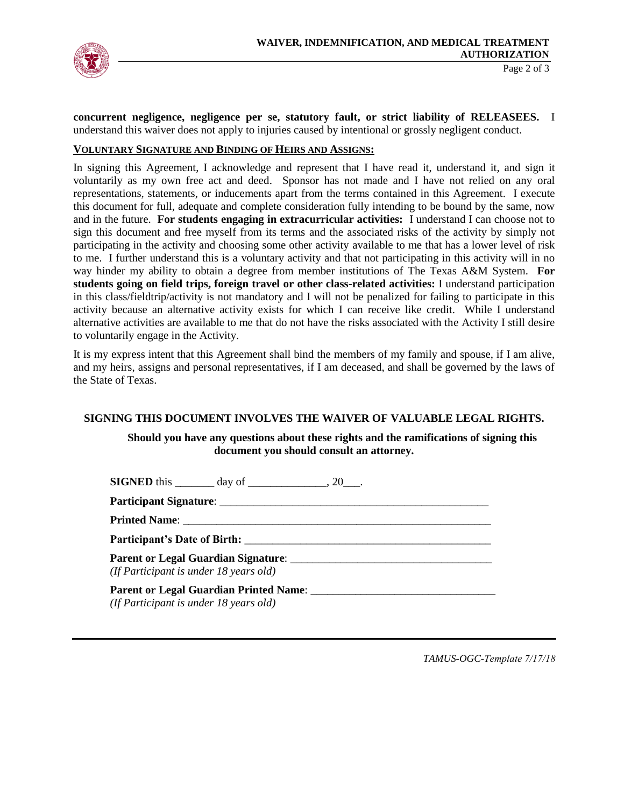

**concurrent negligence, negligence per se, statutory fault, or strict liability of RELEASEES.** I understand this waiver does not apply to injuries caused by intentional or grossly negligent conduct.

#### **VOLUNTARY SIGNATURE AND BINDING OF HEIRS AND ASSIGNS:**

In signing this Agreement, I acknowledge and represent that I have read it, understand it, and sign it voluntarily as my own free act and deed. Sponsor has not made and I have not relied on any oral representations, statements, or inducements apart from the terms contained in this Agreement. I execute this document for full, adequate and complete consideration fully intending to be bound by the same, now and in the future. **For students engaging in extracurricular activities:** I understand I can choose not to sign this document and free myself from its terms and the associated risks of the activity by simply not participating in the activity and choosing some other activity available to me that has a lower level of risk to me. I further understand this is a voluntary activity and that not participating in this activity will in no way hinder my ability to obtain a degree from member institutions of The Texas A&M System. **For students going on field trips, foreign travel or other class-related activities:** I understand participation in this class/fieldtrip/activity is not mandatory and I will not be penalized for failing to participate in this activity because an alternative activity exists for which I can receive like credit. While I understand alternative activities are available to me that do not have the risks associated with the Activity I still desire to voluntarily engage in the Activity.

It is my express intent that this Agreement shall bind the members of my family and spouse, if I am alive, and my heirs, assigns and personal representatives, if I am deceased, and shall be governed by the laws of the State of Texas.

#### **SIGNING THIS DOCUMENT INVOLVES THE WAIVER OF VALUABLE LEGAL RIGHTS.**

#### **Should you have any questions about these rights and the ramifications of signing this document you should consult an attorney.**

| <b>SIGNED</b> this $\_\_\_\_\_$ day of $\_\_\_\_\_\_$ , 20 $\_\_\_\_\$ .           |
|------------------------------------------------------------------------------------|
|                                                                                    |
|                                                                                    |
|                                                                                    |
| (If Participant is under $18$ years old)                                           |
| Parent or Legal Guardian Printed Name:<br>(If Participant is under $18$ years old) |

*TAMUS-OGC-Template 7/17/18*